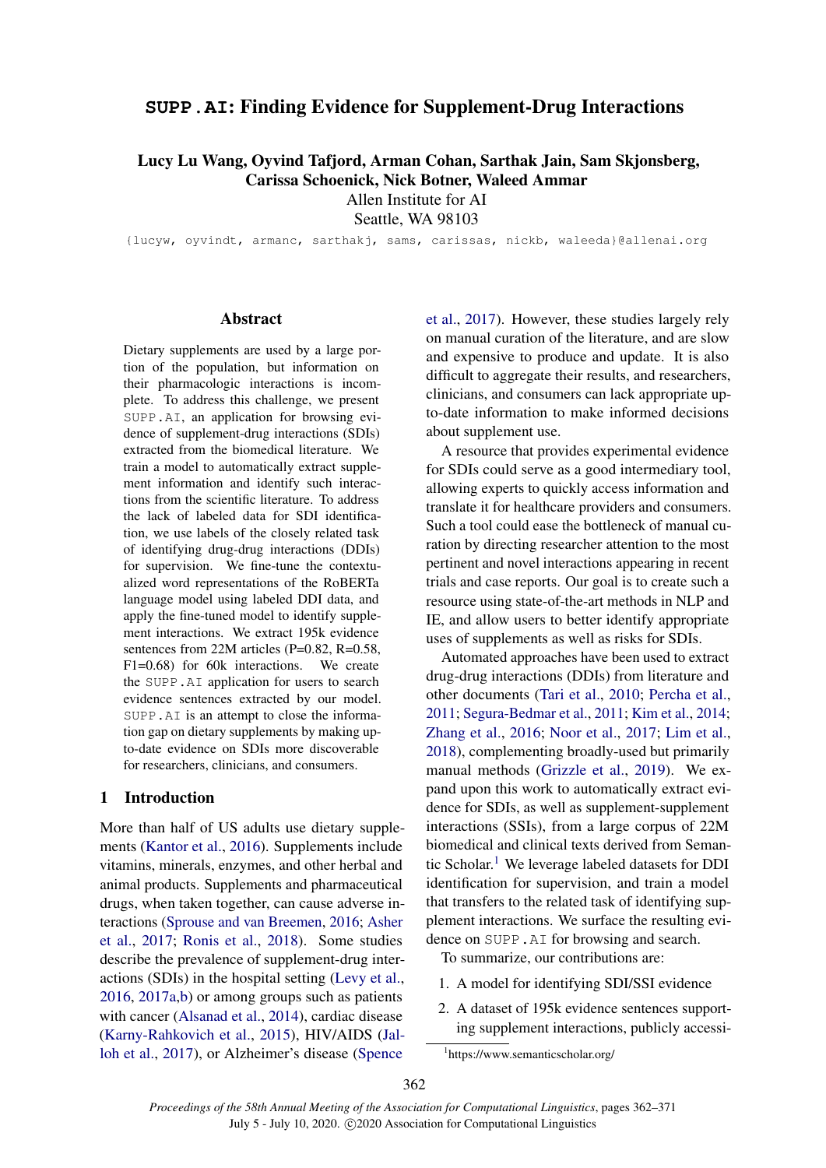# **SUPP.AI**: Finding Evidence for Supplement-Drug Interactions

Lucy Lu Wang, Oyvind Tafjord, Arman Cohan, Sarthak Jain, Sam Skjonsberg, Carissa Schoenick, Nick Botner, Waleed Ammar

Allen Institute for AI

Seattle, WA 98103

{lucyw, oyvindt, armanc, sarthakj, sams, carissas, nickb, waleeda}@allenai.org

## Abstract

Dietary supplements are used by a large portion of the population, but information on their pharmacologic interactions is incomplete. To address this challenge, we present SUPP.AI, an application for browsing evidence of supplement-drug interactions (SDIs) extracted from the biomedical literature. We train a model to automatically extract supplement information and identify such interactions from the scientific literature. To address the lack of labeled data for SDI identification, we use labels of the closely related task of identifying drug-drug interactions (DDIs) for supervision. We fine-tune the contextualized word representations of the RoBERTa language model using labeled DDI data, and apply the fine-tuned model to identify supplement interactions. We extract 195k evidence sentences from 22M articles (P=0.82, R=0.58, F1=0.68) for 60k interactions. We create the SUPP.AI application for users to search evidence sentences extracted by our model. SUPP.AI is an attempt to close the information gap on dietary supplements by making upto-date evidence on SDIs more discoverable for researchers, clinicians, and consumers.

# 1 Introduction

More than half of US adults use dietary supplements [\(Kantor et al.,](#page-6-0) [2016\)](#page-6-0). Supplements include vitamins, minerals, enzymes, and other herbal and animal products. Supplements and pharmaceutical drugs, when taken together, can cause adverse interactions [\(Sprouse and van Breemen,](#page-7-0) [2016;](#page-7-0) [Asher](#page-6-1) [et al.,](#page-6-1) [2017;](#page-6-1) [Ronis et al.,](#page-7-1) [2018\)](#page-7-1). Some studies describe the prevalence of supplement-drug interactions (SDIs) in the hospital setting [\(Levy et al.,](#page-7-2) [2016,](#page-7-2) [2017a,](#page-7-3)[b\)](#page-7-4) or among groups such as patients with cancer [\(Alsanad et al.,](#page-6-2) [2014\)](#page-6-2), cardiac disease [\(Karny-Rahkovich et al.,](#page-6-3) [2015\)](#page-6-3), HIV/AIDS [\(Jal](#page-6-4)[loh et al.,](#page-6-4) [2017\)](#page-6-4), or Alzheimer's disease [\(Spence](#page-7-5)

[et al.,](#page-7-5) [2017\)](#page-7-5). However, these studies largely rely on manual curation of the literature, and are slow and expensive to produce and update. It is also difficult to aggregate their results, and researchers, clinicians, and consumers can lack appropriate upto-date information to make informed decisions about supplement use.

A resource that provides experimental evidence for SDIs could serve as a good intermediary tool, allowing experts to quickly access information and translate it for healthcare providers and consumers. Such a tool could ease the bottleneck of manual curation by directing researcher attention to the most pertinent and novel interactions appearing in recent trials and case reports. Our goal is to create such a resource using state-of-the-art methods in NLP and IE, and allow users to better identify appropriate uses of supplements as well as risks for SDIs.

Automated approaches have been used to extract drug-drug interactions (DDIs) from literature and other documents [\(Tari et al.,](#page-7-6) [2010;](#page-7-6) [Percha et al.,](#page-7-7) [2011;](#page-7-7) [Segura-Bedmar et al.,](#page-7-8) [2011;](#page-7-8) [Kim et al.,](#page-6-5) [2014;](#page-6-5) [Zhang et al.,](#page-8-0) [2016;](#page-8-0) [Noor et al.,](#page-7-9) [2017;](#page-7-9) [Lim et al.,](#page-7-10) [2018\)](#page-7-10), complementing broadly-used but primarily manual methods [\(Grizzle et al.,](#page-6-6) [2019\)](#page-6-6). We expand upon this work to automatically extract evidence for SDIs, as well as supplement-supplement interactions (SSIs), from a large corpus of 22M biomedical and clinical texts derived from Seman-tic Scholar.<sup>[1](#page-0-0)</sup> We leverage labeled datasets for DDI identification for supervision, and train a model that transfers to the related task of identifying supplement interactions. We surface the resulting evidence on SUPP.AI for browsing and search.

To summarize, our contributions are:

- 1. A model for identifying SDI/SSI evidence
- 2. A dataset of 195k evidence sentences supporting supplement interactions, publicly accessi-

<span id="page-0-0"></span><sup>1</sup> https://www.semanticscholar.org/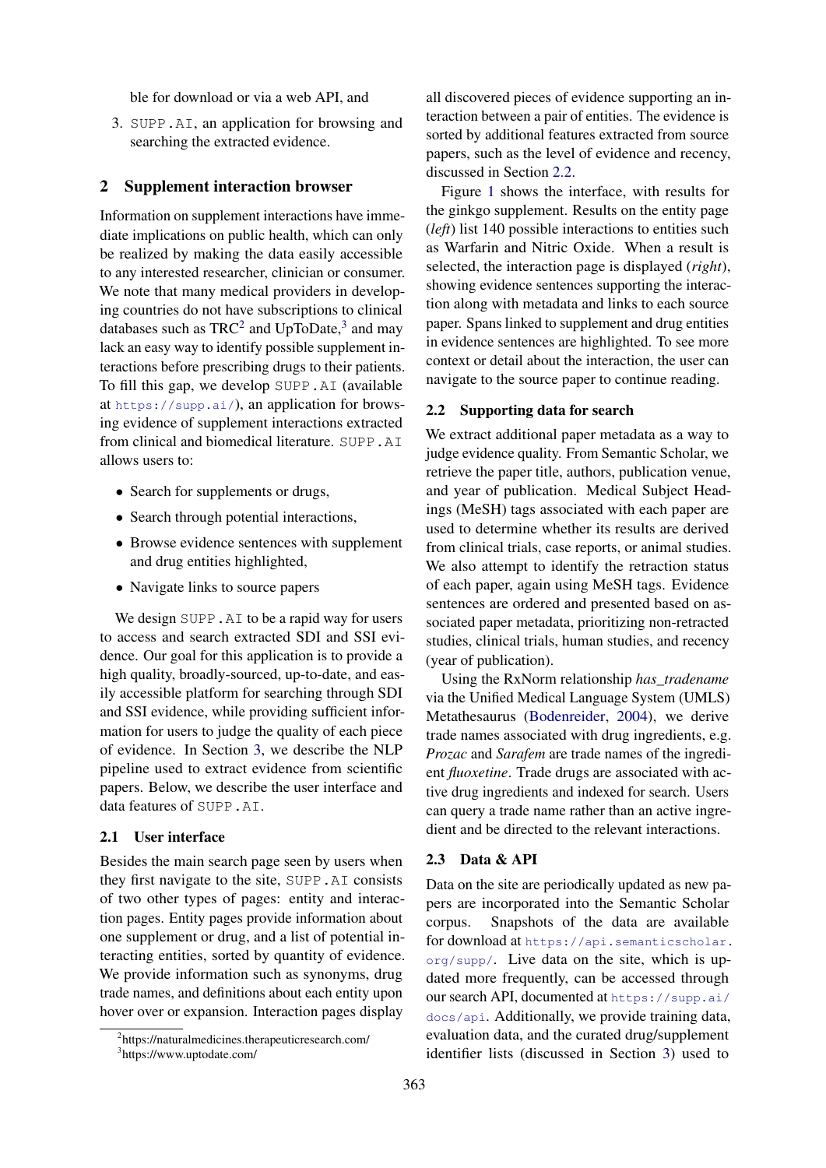ble for download or via a web API, and

3. SUPP.AI, an application for browsing and searching the extracted evidence.

#### <span id="page-1-3"></span>2 Supplement interaction browser

Information on supplement interactions have immediate implications on public health, which can only be realized by making the data easily accessible to any interested researcher, clinician or consumer. We note that many medical providers in developing countries do not have subscriptions to clinical databases such as  $TRC^2$  $TRC^2$  and UpToDate,<sup>[3](#page-1-1)</sup> and may lack an easy way to identify possible supplement interactions before prescribing drugs to their patients. To fill this gap, we develop SUPP.AI (available at <https://supp.ai/>), an application for browsing evidence of supplement interactions extracted from clinical and biomedical literature. SUPP.AI allows users to:

- Search for supplements or drugs,
- Search through potential interactions,
- Browse evidence sentences with supplement and drug entities highlighted,
- Navigate links to source papers

We design SUPP. A<sub>I</sub> to be a rapid way for users to access and search extracted SDI and SSI evidence. Our goal for this application is to provide a high quality, broadly-sourced, up-to-date, and easily accessible platform for searching through SDI and SSI evidence, while providing sufficient information for users to judge the quality of each piece of evidence. In Section [3,](#page-2-0) we describe the NLP pipeline used to extract evidence from scientific papers. Below, we describe the user interface and data features of SUPP.AI.

#### 2.1 User interface

Besides the main search page seen by users when they first navigate to the site, SUPP.AI consists of two other types of pages: entity and interaction pages. Entity pages provide information about one supplement or drug, and a list of potential interacting entities, sorted by quantity of evidence. We provide information such as synonyms, drug trade names, and definitions about each entity upon hover over or expansion. Interaction pages display

all discovered pieces of evidence supporting an interaction between a pair of entities. The evidence is sorted by additional features extracted from source papers, such as the level of evidence and recency, discussed in Section [2.2.](#page-1-2)

Figure [1](#page-2-1) shows the interface, with results for the ginkgo supplement. Results on the entity page (*left*) list 140 possible interactions to entities such as Warfarin and Nitric Oxide. When a result is selected, the interaction page is displayed (*right*), showing evidence sentences supporting the interaction along with metadata and links to each source paper. Spans linked to supplement and drug entities in evidence sentences are highlighted. To see more context or detail about the interaction, the user can navigate to the source paper to continue reading.

### <span id="page-1-2"></span>2.2 Supporting data for search

We extract additional paper metadata as a way to judge evidence quality. From Semantic Scholar, we retrieve the paper title, authors, publication venue, and year of publication. Medical Subject Headings (MeSH) tags associated with each paper are used to determine whether its results are derived from clinical trials, case reports, or animal studies. We also attempt to identify the retraction status of each paper, again using MeSH tags. Evidence sentences are ordered and presented based on associated paper metadata, prioritizing non-retracted studies, clinical trials, human studies, and recency (year of publication).

Using the RxNorm relationship *has\_tradename* via the Unified Medical Language System (UMLS) Metathesaurus [\(Bodenreider,](#page-6-7) [2004\)](#page-6-7), we derive trade names associated with drug ingredients, e.g. *Prozac* and *Sarafem* are trade names of the ingredient *fluoxetine*. Trade drugs are associated with active drug ingredients and indexed for search. Users can query a trade name rather than an active ingredient and be directed to the relevant interactions.

### 2.3 Data & API

Data on the site are periodically updated as new papers are incorporated into the Semantic Scholar corpus. Snapshots of the data are available for download at [https://api.semanticscholar.](https://api.semanticscholar.org/supp/) [org/supp/](https://api.semanticscholar.org/supp/). Live data on the site, which is updated more frequently, can be accessed through our search API, documented at [https://supp.ai/](https://supp.ai/docs/api) [docs/api](https://supp.ai/docs/api). Additionally, we provide training data, evaluation data, and the curated drug/supplement identifier lists (discussed in Section [3\)](#page-2-0) used to

<span id="page-1-0"></span><sup>2</sup> https://naturalmedicines.therapeuticresearch.com/

<span id="page-1-1"></span><sup>3</sup> https://www.uptodate.com/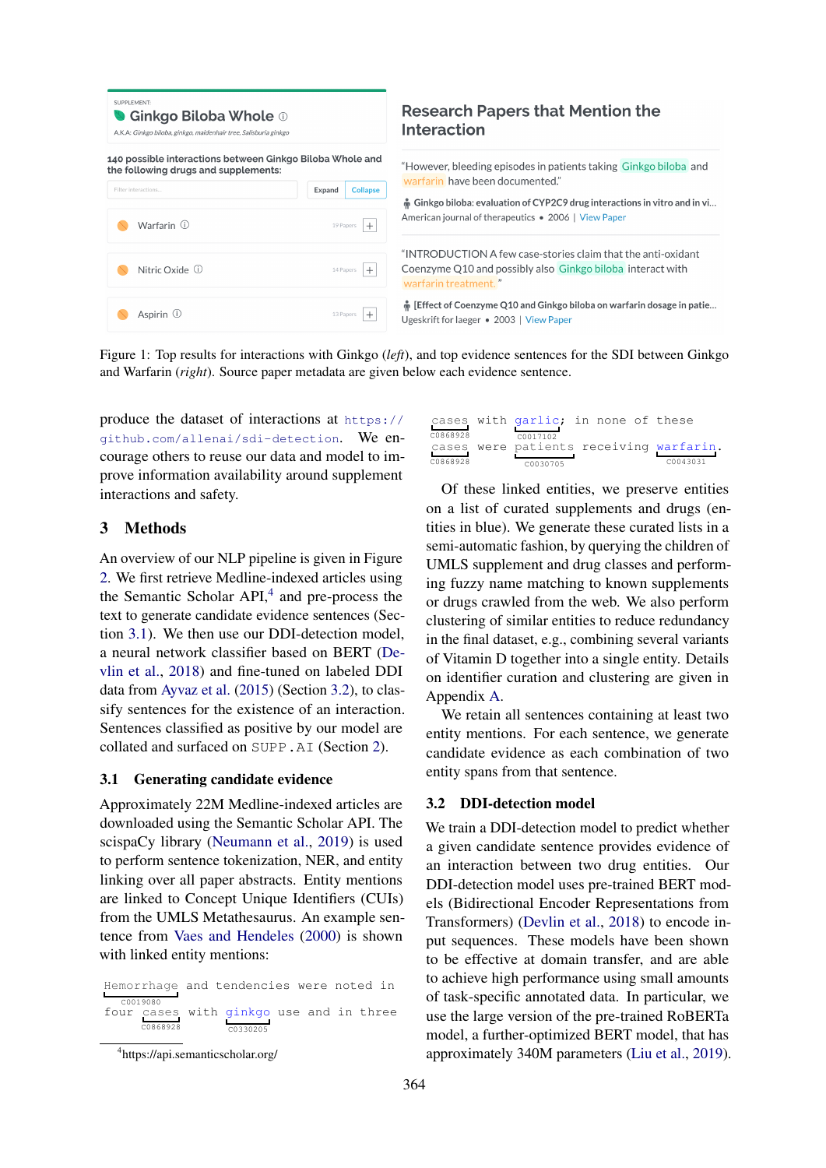<span id="page-2-1"></span>

| SUPPLEMENT:<br><b>● Ginkgo Biloba Whole</b> ①<br>A.K.A: Ginkgo biloba, ginkgo, maidenhair tree, Salisburia ginkgo |           |                 |  |  |
|-------------------------------------------------------------------------------------------------------------------|-----------|-----------------|--|--|
| 140 possible interactions between Ginkgo Biloba Whole and<br>the following drugs and supplements:                 |           |                 |  |  |
| Filter interactions                                                                                               | Expand    | <b>Collapse</b> |  |  |
| Warfarin (i)                                                                                                      | 19 Papers | $\pm$           |  |  |
| Nitric Oxide (i)                                                                                                  | 14 Papers | $^{+}$          |  |  |
| Aspirin ①                                                                                                         | 13 Papers |                 |  |  |

# **Research Papers that Mention the** nteraction

However, bleeding episodes in patients taking Ginkgo biloba and warfarin have been documented."

 $\mathring{\mathsf{h}}$  Ginkgo biloba: evaluation of CYP2C9 drug interactions in vitro and in vi... merican journal of therapeutics • 2006 | View Paper

INTRODUCTION A few case-stories claim that the anti-oxidant coenzyme Q10 and possibly also Ginkgo biloba interact with warfarin treatment. "

 $\,$  [Effect of Coenzyme O10 and Ginkgo biloba on warfarin dosage in patie... Igeskrift for laeger • 2003 | View Paper

Figure 1: Top results for interactions with Ginkgo (*left*), and top evidence sentences for the SDI between Ginkgo and Warfarin (*right*). Source paper metadata are given below each evidence sentence.

produce the dataset of interactions at [https://](https://github.com/allenai/sdi-detection) [github.com/allenai/sdi-detection](https://github.com/allenai/sdi-detection). We encourage others to reuse our data and model to improve information availability around supplement interactions and safety.

# <span id="page-2-0"></span>3 Methods

An overview of our NLP pipeline is given in Figure [2.](#page-3-0) We first retrieve Medline-indexed articles using the Semantic Scholar API,<sup>[4](#page-2-2)</sup> and pre-process the text to generate candidate evidence sentences (Section [3.1\)](#page-2-3). We then use our DDI-detection model, a neural network classifier based on BERT [\(De](#page-6-8)[vlin et al.,](#page-6-8) [2018\)](#page-6-8) and fine-tuned on labeled DDI data from [Ayvaz et al.](#page-6-9) [\(2015\)](#page-6-9) (Section [3.2\)](#page-2-4), to classify sentences for the existence of an interaction. Sentences classified as positive by our model are collated and surfaced on SUPP.AI (Section [2\)](#page-1-3).

## <span id="page-2-3"></span>3.1 Generating candidate evidence

Approximately 22M Medline-indexed articles are downloaded using the Semantic Scholar API. The scispaCy library [\(Neumann et al.,](#page-7-11) [2019\)](#page-7-11) is used to perform sentence tokenization, NER, and entity linking over all paper abstracts. Entity mentions are linked to Concept Unique Identifiers (CUIs) from the UMLS Metathesaurus. An example sentence from [Vaes and Hendeles](#page-8-1) [\(2000\)](#page-8-1) is shown with linked entity mentions:

Hemorrhage and tendencies were noted in c0019080<br>four cas four cases C0868928 with ginkgo C0330205 use and in three

|          | cases with garlic; in none of these |  |                                         |
|----------|-------------------------------------|--|-----------------------------------------|
| C0868928 | C0017102                            |  |                                         |
|          |                                     |  | cases were patients receiving warfarin. |
| C0868928 | C0030705                            |  | C0043031                                |

Of these linked entities, we preserve entities on a list of curated supplements and drugs (entities in blue). We generate these curated lists in a semi-automatic fashion, by querying the children of UMLS supplement and drug classes and performing fuzzy name matching to known supplements or drugs crawled from the web. We also perform clustering of similar entities to reduce redundancy in the final dataset, e.g., combining several variants of Vitamin D together into a single entity. Details on identifier curation and clustering are given in Appendix [A.](#page-8-2)

We retain all sentences containing at least two entity mentions. For each sentence, we generate candidate evidence as each combination of two entity spans from that sentence.

#### <span id="page-2-4"></span>3.2 DDI-detection model

We train a DDI-detection model to predict whether a given candidate sentence provides evidence of an interaction between two drug entities. Our DDI-detection model uses pre-trained BERT models (Bidirectional Encoder Representations from Transformers) [\(Devlin et al.,](#page-6-8) [2018\)](#page-6-8) to encode input sequences. These models have been shown to be effective at domain transfer, and are able to achieve high performance using small amounts of task-specific annotated data. In particular, we use the large version of the pre-trained RoBERTa model, a further-optimized BERT model, that has approximately 340M parameters [\(Liu et al.,](#page-7-12) [2019\)](#page-7-12).

<span id="page-2-2"></span><sup>4</sup> https://api.semanticscholar.org/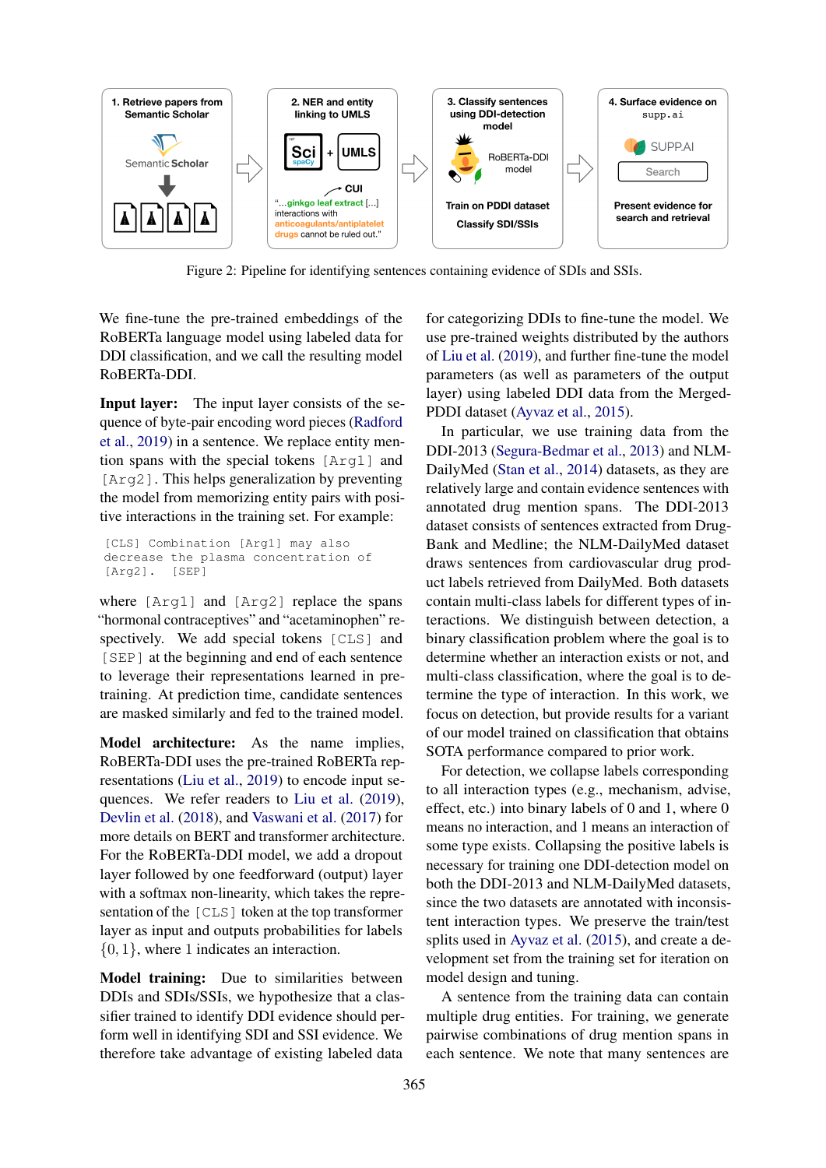<span id="page-3-0"></span>

Figure 2: Pipeline for identifying sentences containing evidence of SDIs and SSIs.

We fine-tune the pre-trained embeddings of the RoBERTa language model using labeled data for DDI classification, and we call the resulting model RoBERTa-DDI.

Input layer: The input layer consists of the sequence of byte-pair encoding word pieces [\(Radford](#page-7-13) [et al.,](#page-7-13) [2019\)](#page-7-13) in a sentence. We replace entity mention spans with the special tokens [Arg1] and [Arg2]. This helps generalization by preventing the model from memorizing entity pairs with positive interactions in the training set. For example:

```
[CLS] Combination [Arg1] may also
decrease the plasma concentration of
[Arg2]. [SEP]
```
where [Arg1] and [Arg2] replace the spans "hormonal contraceptives" and "acetaminophen" respectively. We add special tokens [CLS] and [SEP] at the beginning and end of each sentence to leverage their representations learned in pretraining. At prediction time, candidate sentences are masked similarly and fed to the trained model.

Model architecture: As the name implies, RoBERTa-DDI uses the pre-trained RoBERTa representations [\(Liu et al.,](#page-7-12) [2019\)](#page-7-12) to encode input sequences. We refer readers to [Liu et al.](#page-7-12) [\(2019\)](#page-7-12), [Devlin et al.](#page-6-8) [\(2018\)](#page-6-8), and [Vaswani et al.](#page-8-3) [\(2017\)](#page-8-3) for more details on BERT and transformer architecture. For the RoBERTa-DDI model, we add a dropout layer followed by one feedforward (output) layer with a softmax non-linearity, which takes the representation of the [CLS] token at the top transformer layer as input and outputs probabilities for labels {0, 1}, where 1 indicates an interaction.

Model training: Due to similarities between DDIs and SDIs/SSIs, we hypothesize that a classifier trained to identify DDI evidence should perform well in identifying SDI and SSI evidence. We therefore take advantage of existing labeled data

for categorizing DDIs to fine-tune the model. We use pre-trained weights distributed by the authors of [Liu et al.](#page-7-12) [\(2019\)](#page-7-12), and further fine-tune the model parameters (as well as parameters of the output layer) using labeled DDI data from the Merged-PDDI dataset [\(Ayvaz et al.,](#page-6-9) [2015\)](#page-6-9).

In particular, we use training data from the DDI-2013 [\(Segura-Bedmar et al.,](#page-7-14) [2013\)](#page-7-14) and NLM-DailyMed [\(Stan et al.,](#page-7-15) [2014\)](#page-7-15) datasets, as they are relatively large and contain evidence sentences with annotated drug mention spans. The DDI-2013 dataset consists of sentences extracted from Drug-Bank and Medline; the NLM-DailyMed dataset draws sentences from cardiovascular drug product labels retrieved from DailyMed. Both datasets contain multi-class labels for different types of interactions. We distinguish between detection, a binary classification problem where the goal is to determine whether an interaction exists or not, and multi-class classification, where the goal is to determine the type of interaction. In this work, we focus on detection, but provide results for a variant of our model trained on classification that obtains SOTA performance compared to prior work.

For detection, we collapse labels corresponding to all interaction types (e.g., mechanism, advise, effect, etc.) into binary labels of 0 and 1, where 0 means no interaction, and 1 means an interaction of some type exists. Collapsing the positive labels is necessary for training one DDI-detection model on both the DDI-2013 and NLM-DailyMed datasets, since the two datasets are annotated with inconsistent interaction types. We preserve the train/test splits used in [Ayvaz et al.](#page-6-9) [\(2015\)](#page-6-9), and create a development set from the training set for iteration on model design and tuning.

A sentence from the training data can contain multiple drug entities. For training, we generate pairwise combinations of drug mention spans in each sentence. We note that many sentences are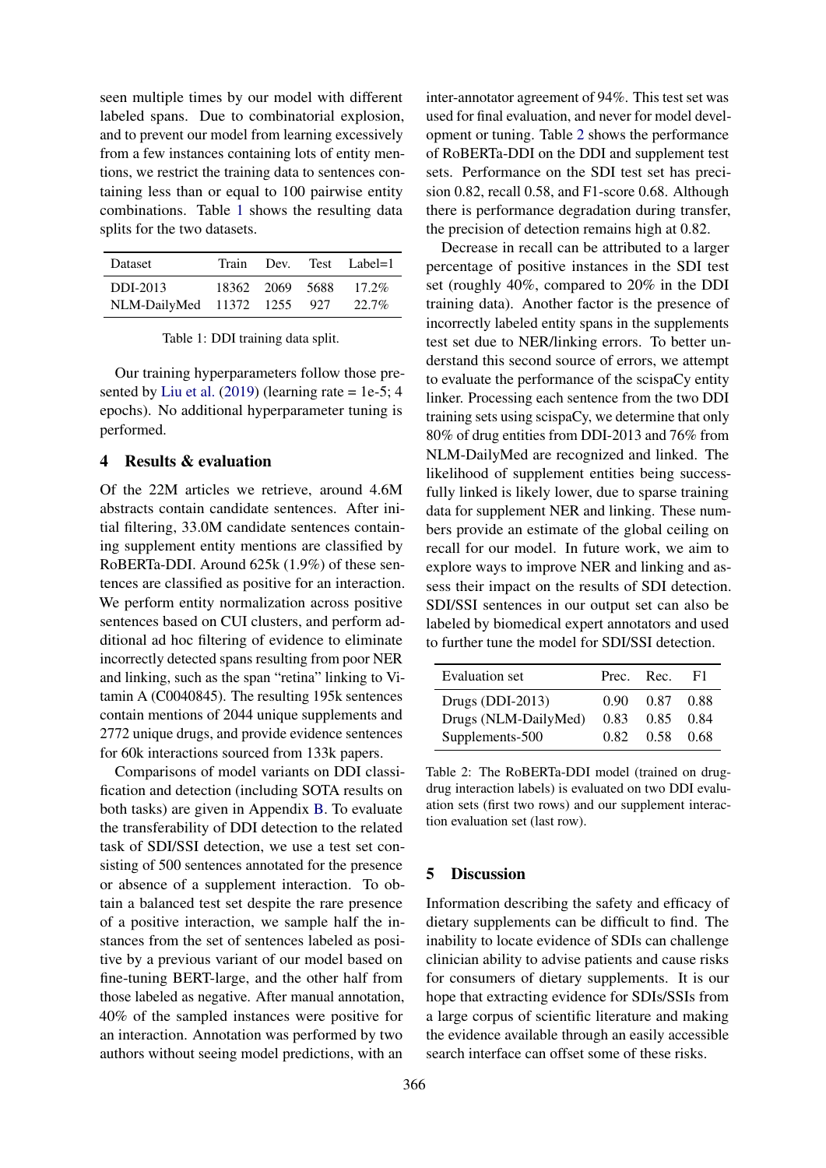seen multiple times by our model with different labeled spans. Due to combinatorial explosion, and to prevent our model from learning excessively from a few instances containing lots of entity mentions, we restrict the training data to sentences containing less than or equal to 100 pairwise entity combinations. Table [1](#page-4-0) shows the resulting data splits for the two datasets.

<span id="page-4-0"></span>

| Dataset                                 | Train |                 | Dev. Test Label=1    |
|-----------------------------------------|-------|-----------------|----------------------|
| DDI-2013<br>NLM-DailyMed 11372 1255 927 |       | 18362 2069 5688 | $17.2\%$<br>$22.7\%$ |

Table 1: DDI training data split.

Our training hyperparameters follow those pre-sented by [Liu et al.](#page-7-12)  $(2019)$  (learning rate = 1e-5; 4 epochs). No additional hyperparameter tuning is performed.

## 4 Results & evaluation

Of the 22M articles we retrieve, around 4.6M abstracts contain candidate sentences. After initial filtering, 33.0M candidate sentences containing supplement entity mentions are classified by RoBERTa-DDI. Around 625k (1.9%) of these sentences are classified as positive for an interaction. We perform entity normalization across positive sentences based on CUI clusters, and perform additional ad hoc filtering of evidence to eliminate incorrectly detected spans resulting from poor NER and linking, such as the span "retina" linking to Vitamin A (C0040845). The resulting 195k sentences contain mentions of 2044 unique supplements and 2772 unique drugs, and provide evidence sentences for 60k interactions sourced from 133k papers.

Comparisons of model variants on DDI classification and detection (including SOTA results on both tasks) are given in Appendix [B.](#page-9-0) To evaluate the transferability of DDI detection to the related task of SDI/SSI detection, we use a test set consisting of 500 sentences annotated for the presence or absence of a supplement interaction. To obtain a balanced test set despite the rare presence of a positive interaction, we sample half the instances from the set of sentences labeled as positive by a previous variant of our model based on fine-tuning BERT-large, and the other half from those labeled as negative. After manual annotation, 40% of the sampled instances were positive for an interaction. Annotation was performed by two authors without seeing model predictions, with an

inter-annotator agreement of 94%. This test set was used for final evaluation, and never for model development or tuning. Table [2](#page-4-1) shows the performance of RoBERTa-DDI on the DDI and supplement test sets. Performance on the SDI test set has precision 0.82, recall 0.58, and F1-score 0.68. Although there is performance degradation during transfer, the precision of detection remains high at 0.82.

Decrease in recall can be attributed to a larger percentage of positive instances in the SDI test set (roughly 40%, compared to 20% in the DDI training data). Another factor is the presence of incorrectly labeled entity spans in the supplements test set due to NER/linking errors. To better understand this second source of errors, we attempt to evaluate the performance of the scispaCy entity linker. Processing each sentence from the two DDI training sets using scispaCy, we determine that only 80% of drug entities from DDI-2013 and 76% from NLM-DailyMed are recognized and linked. The likelihood of supplement entities being successfully linked is likely lower, due to sparse training data for supplement NER and linking. These numbers provide an estimate of the global ceiling on recall for our model. In future work, we aim to explore ways to improve NER and linking and assess their impact on the results of SDI detection. SDI/SSI sentences in our output set can also be labeled by biomedical expert annotators and used to further tune the model for SDI/SSI detection.

<span id="page-4-1"></span>

| Evaluation set       |      | Prec. Rec.  | - F1 |
|----------------------|------|-------------|------|
| Drugs $(DDI-2013)$   | 0.90 | 0.87 0.88   |      |
| Drugs (NLM-DailyMed) | 0.83 | $0.85$ 0.84 |      |
| Supplements-500      | 0.82 | 0.58 0.68   |      |

Table 2: The RoBERTa-DDI model (trained on drugdrug interaction labels) is evaluated on two DDI evaluation sets (first two rows) and our supplement interaction evaluation set (last row).

## 5 Discussion

Information describing the safety and efficacy of dietary supplements can be difficult to find. The inability to locate evidence of SDIs can challenge clinician ability to advise patients and cause risks for consumers of dietary supplements. It is our hope that extracting evidence for SDIs/SSIs from a large corpus of scientific literature and making the evidence available through an easily accessible search interface can offset some of these risks.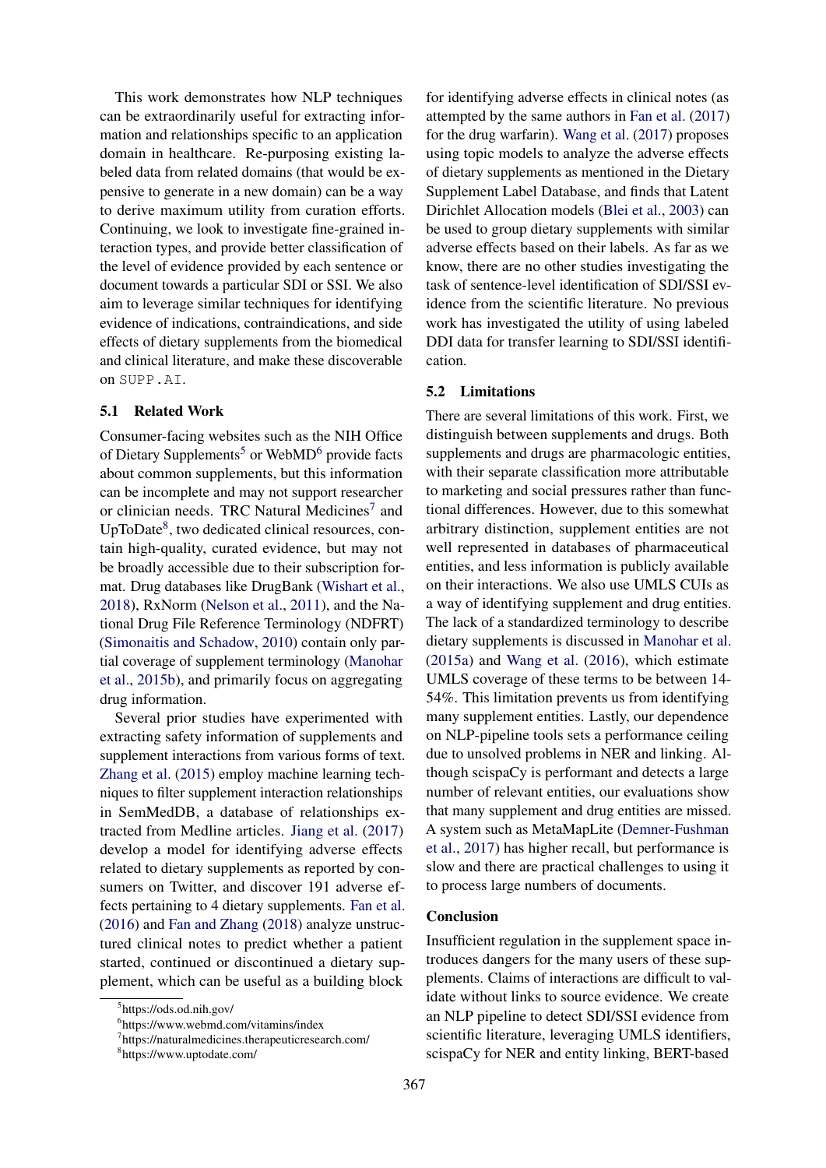This work demonstrates how NLP techniques can be extraordinarily useful for extracting information and relationships specific to an application domain in healthcare. Re-purposing existing labeled data from related domains (that would be expensive to generate in a new domain) can be a way to derive maximum utility from curation efforts. Continuing, we look to investigate fine-grained interaction types, and provide better classification of the level of evidence provided by each sentence or document towards a particular SDI or SSI. We also aim to leverage similar techniques for identifying evidence of indications, contraindications, and side effects of dietary supplements from the biomedical and clinical literature, and make these discoverable on SUPP.AI.

#### 5.1 Related Work

Consumer-facing websites such as the NIH Office of Dietary Supplements<sup>[5](#page-5-0)</sup> or WebMD<sup>[6](#page-5-1)</sup> provide facts about common supplements, but this information can be incomplete and may not support researcher or clinician needs. TRC Natural Medicines<sup>[7](#page-5-2)</sup> and UpToDate<sup>[8](#page-5-3)</sup>, two dedicated clinical resources, contain high-quality, curated evidence, but may not be broadly accessible due to their subscription format. Drug databases like DrugBank [\(Wishart et al.,](#page-8-4) [2018\)](#page-8-4), RxNorm [\(Nelson et al.,](#page-7-16) [2011\)](#page-7-16), and the National Drug File Reference Terminology (NDFRT) [\(Simonaitis and Schadow,](#page-7-17) [2010\)](#page-7-17) contain only partial coverage of supplement terminology [\(Manohar](#page-7-18) [et al.,](#page-7-18) [2015b\)](#page-7-18), and primarily focus on aggregating drug information.

Several prior studies have experimented with extracting safety information of supplements and supplement interactions from various forms of text. [Zhang et al.](#page-8-5) [\(2015\)](#page-8-5) employ machine learning techniques to filter supplement interaction relationships in SemMedDB, a database of relationships extracted from Medline articles. [Jiang et al.](#page-6-10) [\(2017\)](#page-6-10) develop a model for identifying adverse effects related to dietary supplements as reported by consumers on Twitter, and discover 191 adverse effects pertaining to 4 dietary supplements. [Fan et al.](#page-6-11) [\(2016\)](#page-6-11) and [Fan and Zhang](#page-6-12) [\(2018\)](#page-6-12) analyze unstructured clinical notes to predict whether a patient started, continued or discontinued a dietary supplement, which can be useful as a building block

367

for identifying adverse effects in clinical notes (as attempted by the same authors in [Fan et al.](#page-6-13) [\(2017\)](#page-6-13) for the drug warfarin). [Wang et al.](#page-8-6) [\(2017\)](#page-8-6) proposes using topic models to analyze the adverse effects of dietary supplements as mentioned in the Dietary Supplement Label Database, and finds that Latent Dirichlet Allocation models [\(Blei et al.,](#page-6-14) [2003\)](#page-6-14) can be used to group dietary supplements with similar adverse effects based on their labels. As far as we know, there are no other studies investigating the task of sentence-level identification of SDI/SSI evidence from the scientific literature. No previous work has investigated the utility of using labeled DDI data for transfer learning to SDI/SSI identification.

## 5.2 Limitations

There are several limitations of this work. First, we distinguish between supplements and drugs. Both supplements and drugs are pharmacologic entities, with their separate classification more attributable to marketing and social pressures rather than functional differences. However, due to this somewhat arbitrary distinction, supplement entities are not well represented in databases of pharmaceutical entities, and less information is publicly available on their interactions. We also use UMLS CUIs as a way of identifying supplement and drug entities. The lack of a standardized terminology to describe dietary supplements is discussed in [Manohar et al.](#page-7-19) [\(2015a\)](#page-7-19) and [Wang et al.](#page-8-7) [\(2016\)](#page-8-7), which estimate UMLS coverage of these terms to be between 14- 54%. This limitation prevents us from identifying many supplement entities. Lastly, our dependence on NLP-pipeline tools sets a performance ceiling due to unsolved problems in NER and linking. Although scispaCy is performant and detects a large number of relevant entities, our evaluations show that many supplement and drug entities are missed. A system such as MetaMapLite [\(Demner-Fushman](#page-6-15) [et al.,](#page-6-15) [2017\)](#page-6-15) has higher recall, but performance is slow and there are practical challenges to using it to process large numbers of documents.

## Conclusion

Insufficient regulation in the supplement space introduces dangers for the many users of these supplements. Claims of interactions are difficult to validate without links to source evidence. We create an NLP pipeline to detect SDI/SSI evidence from scientific literature, leveraging UMLS identifiers, scispaCy for NER and entity linking, BERT-based

<span id="page-5-0"></span><sup>5</sup> https://ods.od.nih.gov/

<span id="page-5-1"></span><sup>6</sup> https://www.webmd.com/vitamins/index

<span id="page-5-2"></span><sup>7</sup> https://naturalmedicines.therapeuticresearch.com/

<span id="page-5-3"></span><sup>8</sup> https://www.uptodate.com/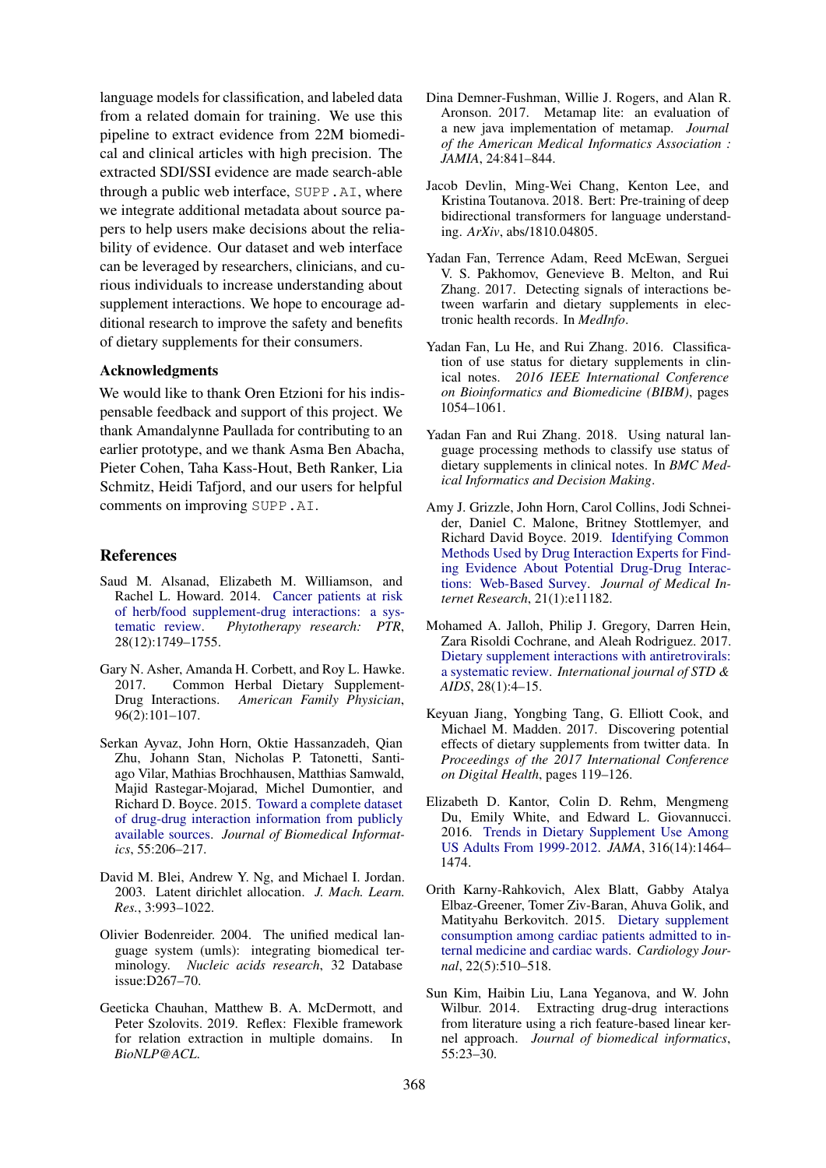language models for classification, and labeled data from a related domain for training. We use this pipeline to extract evidence from 22M biomedical and clinical articles with high precision. The extracted SDI/SSI evidence are made search-able through a public web interface, SUPP.AI, where we integrate additional metadata about source papers to help users make decisions about the reliability of evidence. Our dataset and web interface can be leveraged by researchers, clinicians, and curious individuals to increase understanding about supplement interactions. We hope to encourage additional research to improve the safety and benefits of dietary supplements for their consumers.

## Acknowledgments

We would like to thank Oren Etzioni for his indispensable feedback and support of this project. We thank Amandalynne Paullada for contributing to an earlier prototype, and we thank Asma Ben Abacha, Pieter Cohen, Taha Kass-Hout, Beth Ranker, Lia Schmitz, Heidi Tafjord, and our users for helpful comments on improving SUPP.AI.

#### References

- <span id="page-6-2"></span>Saud M. Alsanad, Elizabeth M. Williamson, and Rachel L. Howard. 2014. [Cancer patients at risk](https://doi.org/10.1002/ptr.5213) [of herb/food supplement-drug interactions: a sys](https://doi.org/10.1002/ptr.5213)[tematic review.](https://doi.org/10.1002/ptr.5213) *Phytotherapy research: PTR*, 28(12):1749–1755.
- <span id="page-6-1"></span>Gary N. Asher, Amanda H. Corbett, and Roy L. Hawke. 2017. Common Herbal Dietary Supplement-Drug Interactions. *American Family Physician*, 96(2):101–107.
- <span id="page-6-9"></span>Serkan Ayvaz, John Horn, Oktie Hassanzadeh, Qian Zhu, Johann Stan, Nicholas P. Tatonetti, Santiago Vilar, Mathias Brochhausen, Matthias Samwald, Majid Rastegar-Mojarad, Michel Dumontier, and Richard D. Boyce. 2015. [Toward a complete dataset](https://doi.org/10.1016/j.jbi.2015.04.006) [of drug-drug interaction information from publicly](https://doi.org/10.1016/j.jbi.2015.04.006) [available sources.](https://doi.org/10.1016/j.jbi.2015.04.006) *Journal of Biomedical Informatics*, 55:206–217.
- <span id="page-6-14"></span>David M. Blei, Andrew Y. Ng, and Michael I. Jordan. 2003. Latent dirichlet allocation. *J. Mach. Learn. Res.*, 3:993–1022.
- <span id="page-6-7"></span>Olivier Bodenreider. 2004. The unified medical language system (umls): integrating biomedical terminology. *Nucleic acids research*, 32 Database issue:D267–70.
- <span id="page-6-16"></span>Geeticka Chauhan, Matthew B. A. McDermott, and Peter Szolovits. 2019. Reflex: Flexible framework for relation extraction in multiple domains. In *BioNLP@ACL*.
- <span id="page-6-15"></span>Dina Demner-Fushman, Willie J. Rogers, and Alan R. Aronson. 2017. Metamap lite: an evaluation of a new java implementation of metamap. *Journal of the American Medical Informatics Association : JAMIA*, 24:841–844.
- <span id="page-6-8"></span>Jacob Devlin, Ming-Wei Chang, Kenton Lee, and Kristina Toutanova. 2018. Bert: Pre-training of deep bidirectional transformers for language understanding. *ArXiv*, abs/1810.04805.
- <span id="page-6-13"></span>Yadan Fan, Terrence Adam, Reed McEwan, Serguei V. S. Pakhomov, Genevieve B. Melton, and Rui Zhang. 2017. Detecting signals of interactions between warfarin and dietary supplements in electronic health records. In *MedInfo*.
- <span id="page-6-11"></span>Yadan Fan, Lu He, and Rui Zhang. 2016. Classification of use status for dietary supplements in clinical notes. *2016 IEEE International Conference on Bioinformatics and Biomedicine (BIBM)*, pages 1054–1061.
- <span id="page-6-12"></span>Yadan Fan and Rui Zhang. 2018. Using natural language processing methods to classify use status of dietary supplements in clinical notes. In *BMC Medical Informatics and Decision Making*.
- <span id="page-6-6"></span>Amy J. Grizzle, John Horn, Carol Collins, Jodi Schneider, Daniel C. Malone, Britney Stottlemyer, and Richard David Boyce. 2019. [Identifying Common](https://doi.org/10.2196/11182) [Methods Used by Drug Interaction Experts for Find](https://doi.org/10.2196/11182)[ing Evidence About Potential Drug-Drug Interac](https://doi.org/10.2196/11182)[tions: Web-Based Survey.](https://doi.org/10.2196/11182) *Journal of Medical Internet Research*, 21(1):e11182.
- <span id="page-6-4"></span>Mohamed A. Jalloh, Philip J. Gregory, Darren Hein, Zara Risoldi Cochrane, and Aleah Rodriguez. 2017. [Dietary supplement interactions with antiretrovirals:](https://doi.org/10.1177/0956462416671087) [a systematic review.](https://doi.org/10.1177/0956462416671087) *International journal of STD & AIDS*, 28(1):4–15.
- <span id="page-6-10"></span>Keyuan Jiang, Yongbing Tang, G. Elliott Cook, and Michael M. Madden. 2017. Discovering potential effects of dietary supplements from twitter data. In *Proceedings of the 2017 International Conference on Digital Health*, pages 119–126.
- <span id="page-6-0"></span>Elizabeth D. Kantor, Colin D. Rehm, Mengmeng Du, Emily White, and Edward L. Giovannucci. 2016. [Trends in Dietary Supplement Use Among](https://doi.org/10.1001/jama.2016.14403) [US Adults From 1999-2012.](https://doi.org/10.1001/jama.2016.14403) *JAMA*, 316(14):1464– 1474.
- <span id="page-6-3"></span>Orith Karny-Rahkovich, Alex Blatt, Gabby Atalya Elbaz-Greener, Tomer Ziv-Baran, Ahuva Golik, and Matityahu Berkovitch. 2015. [Dietary supplement](https://doi.org/10.5603/CJ.a2015.0039) [consumption among cardiac patients admitted to in](https://doi.org/10.5603/CJ.a2015.0039)[ternal medicine and cardiac wards.](https://doi.org/10.5603/CJ.a2015.0039) *Cardiology Journal*, 22(5):510–518.
- <span id="page-6-5"></span>Sun Kim, Haibin Liu, Lana Yeganova, and W. John Wilbur. 2014. Extracting drug-drug interactions from literature using a rich feature-based linear kernel approach. *Journal of biomedical informatics*, 55:23–30.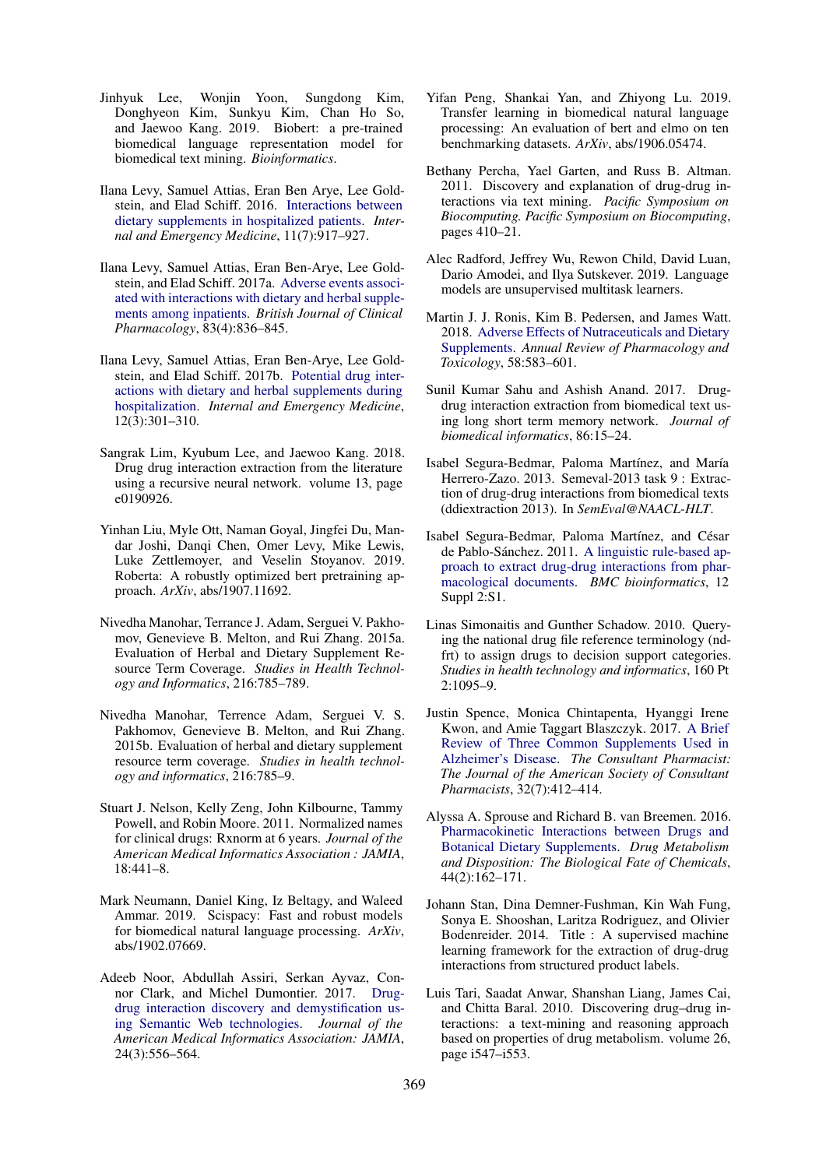- <span id="page-7-22"></span>Jinhyuk Lee, Wonjin Yoon, Sungdong Kim, Donghyeon Kim, Sunkyu Kim, Chan Ho So, and Jaewoo Kang. 2019. Biobert: a pre-trained biomedical language representation model for biomedical text mining. *Bioinformatics*.
- <span id="page-7-2"></span>Ilana Levy, Samuel Attias, Eran Ben Arye, Lee Goldstein, and Elad Schiff. 2016. [Interactions between](https://doi.org/10.1007/s11739-015-1385-3) [dietary supplements in hospitalized patients.](https://doi.org/10.1007/s11739-015-1385-3) *Internal and Emergency Medicine*, 11(7):917–927.
- <span id="page-7-3"></span>Ilana Levy, Samuel Attias, Eran Ben-Arye, Lee Goldstein, and Elad Schiff. 2017a. [Adverse events associ](https://doi.org/10.1111/bcp.13158)[ated with interactions with dietary and herbal supple](https://doi.org/10.1111/bcp.13158)[ments among inpatients.](https://doi.org/10.1111/bcp.13158) *British Journal of Clinical Pharmacology*, 83(4):836–845.
- <span id="page-7-4"></span>Ilana Levy, Samuel Attias, Eran Ben-Arye, Lee Goldstein, and Elad Schiff. 2017b. [Potential drug inter](https://doi.org/10.1007/s11739-016-1548-x)[actions with dietary and herbal supplements during](https://doi.org/10.1007/s11739-016-1548-x) [hospitalization.](https://doi.org/10.1007/s11739-016-1548-x) *Internal and Emergency Medicine*, 12(3):301–310.
- <span id="page-7-10"></span>Sangrak Lim, Kyubum Lee, and Jaewoo Kang. 2018. Drug drug interaction extraction from the literature using a recursive neural network. volume 13, page e0190926.
- <span id="page-7-12"></span>Yinhan Liu, Myle Ott, Naman Goyal, Jingfei Du, Mandar Joshi, Danqi Chen, Omer Levy, Mike Lewis, Luke Zettlemoyer, and Veselin Stoyanov. 2019. Roberta: A robustly optimized bert pretraining approach. *ArXiv*, abs/1907.11692.
- <span id="page-7-19"></span>Nivedha Manohar, Terrance J. Adam, Serguei V. Pakhomov, Genevieve B. Melton, and Rui Zhang. 2015a. Evaluation of Herbal and Dietary Supplement Resource Term Coverage. *Studies in Health Technology and Informatics*, 216:785–789.
- <span id="page-7-18"></span>Nivedha Manohar, Terrence Adam, Serguei V. S. Pakhomov, Genevieve B. Melton, and Rui Zhang. 2015b. Evaluation of herbal and dietary supplement resource term coverage. *Studies in health technology and informatics*, 216:785–9.
- <span id="page-7-16"></span>Stuart J. Nelson, Kelly Zeng, John Kilbourne, Tammy Powell, and Robin Moore. 2011. Normalized names for clinical drugs: Rxnorm at 6 years. *Journal of the American Medical Informatics Association : JAMIA*, 18:441–8.
- <span id="page-7-11"></span>Mark Neumann, Daniel King, Iz Beltagy, and Waleed Ammar. 2019. Scispacy: Fast and robust models for biomedical natural language processing. *ArXiv*, abs/1902.07669.
- <span id="page-7-9"></span>Adeeb Noor, Abdullah Assiri, Serkan Ayvaz, Connor Clark, and Michel Dumontier. 2017. [Drug](https://doi.org/10.1093/jamia/ocw128)[drug interaction discovery and demystification us](https://doi.org/10.1093/jamia/ocw128)[ing Semantic Web technologies.](https://doi.org/10.1093/jamia/ocw128) *Journal of the American Medical Informatics Association: JAMIA*, 24(3):556–564.
- <span id="page-7-21"></span>Yifan Peng, Shankai Yan, and Zhiyong Lu. 2019. Transfer learning in biomedical natural language processing: An evaluation of bert and elmo on ten benchmarking datasets. *ArXiv*, abs/1906.05474.
- <span id="page-7-7"></span>Bethany Percha, Yael Garten, and Russ B. Altman. 2011. Discovery and explanation of drug-drug interactions via text mining. *Pacific Symposium on Biocomputing. Pacific Symposium on Biocomputing*, pages 410–21.
- <span id="page-7-13"></span>Alec Radford, Jeffrey Wu, Rewon Child, David Luan, Dario Amodei, and Ilya Sutskever. 2019. Language models are unsupervised multitask learners.
- <span id="page-7-1"></span>Martin J. J. Ronis, Kim B. Pedersen, and James Watt. 2018. [Adverse Effects of Nutraceuticals and Dietary](https://doi.org/10.1146/annurev-pharmtox-010617-052844) [Supplements.](https://doi.org/10.1146/annurev-pharmtox-010617-052844) *Annual Review of Pharmacology and Toxicology*, 58:583–601.
- <span id="page-7-20"></span>Sunil Kumar Sahu and Ashish Anand. 2017. Drugdrug interaction extraction from biomedical text using long short term memory network. *Journal of biomedical informatics*, 86:15–24.
- <span id="page-7-14"></span>Isabel Segura-Bedmar, Paloma Martínez, and María Herrero-Zazo. 2013. Semeval-2013 task 9 : Extraction of drug-drug interactions from biomedical texts (ddiextraction 2013). In *SemEval@NAACL-HLT*.
- <span id="page-7-8"></span>Isabel Segura-Bedmar, Paloma Martínez, and César de Pablo-Sánchez. 2011. [A linguistic rule-based ap](https://doi.org/10.1186/1471-2105-12-S2-S1)[proach to extract drug-drug interactions from phar](https://doi.org/10.1186/1471-2105-12-S2-S1)[macological documents.](https://doi.org/10.1186/1471-2105-12-S2-S1) *BMC bioinformatics*, 12 Suppl 2:S1.
- <span id="page-7-17"></span>Linas Simonaitis and Gunther Schadow. 2010. Querying the national drug file reference terminology (ndfrt) to assign drugs to decision support categories. *Studies in health technology and informatics*, 160 Pt 2:1095–9.
- <span id="page-7-5"></span>Justin Spence, Monica Chintapenta, Hyanggi Irene Kwon, and Amie Taggart Blaszczyk. 2017. [A Brief](https://doi.org/10.4140/TCP.n.2017.412) [Review of Three Common Supplements Used in](https://doi.org/10.4140/TCP.n.2017.412) [Alzheimer's Disease.](https://doi.org/10.4140/TCP.n.2017.412) *The Consultant Pharmacist: The Journal of the American Society of Consultant Pharmacists*, 32(7):412–414.
- <span id="page-7-0"></span>Alyssa A. Sprouse and Richard B. van Breemen. 2016. [Pharmacokinetic Interactions between Drugs and](https://doi.org/10.1124/dmd.115.066902) [Botanical Dietary Supplements.](https://doi.org/10.1124/dmd.115.066902) *Drug Metabolism and Disposition: The Biological Fate of Chemicals*, 44(2):162–171.
- <span id="page-7-15"></span>Johann Stan, Dina Demner-Fushman, Kin Wah Fung, Sonya E. Shooshan, Laritza Rodriguez, and Olivier Bodenreider. 2014. Title : A supervised machine learning framework for the extraction of drug-drug interactions from structured product labels.
- <span id="page-7-6"></span>Luis Tari, Saadat Anwar, Shanshan Liang, James Cai, and Chitta Baral. 2010. Discovering drug–drug interactions: a text-mining and reasoning approach based on properties of drug metabolism. volume 26, page i547–i553.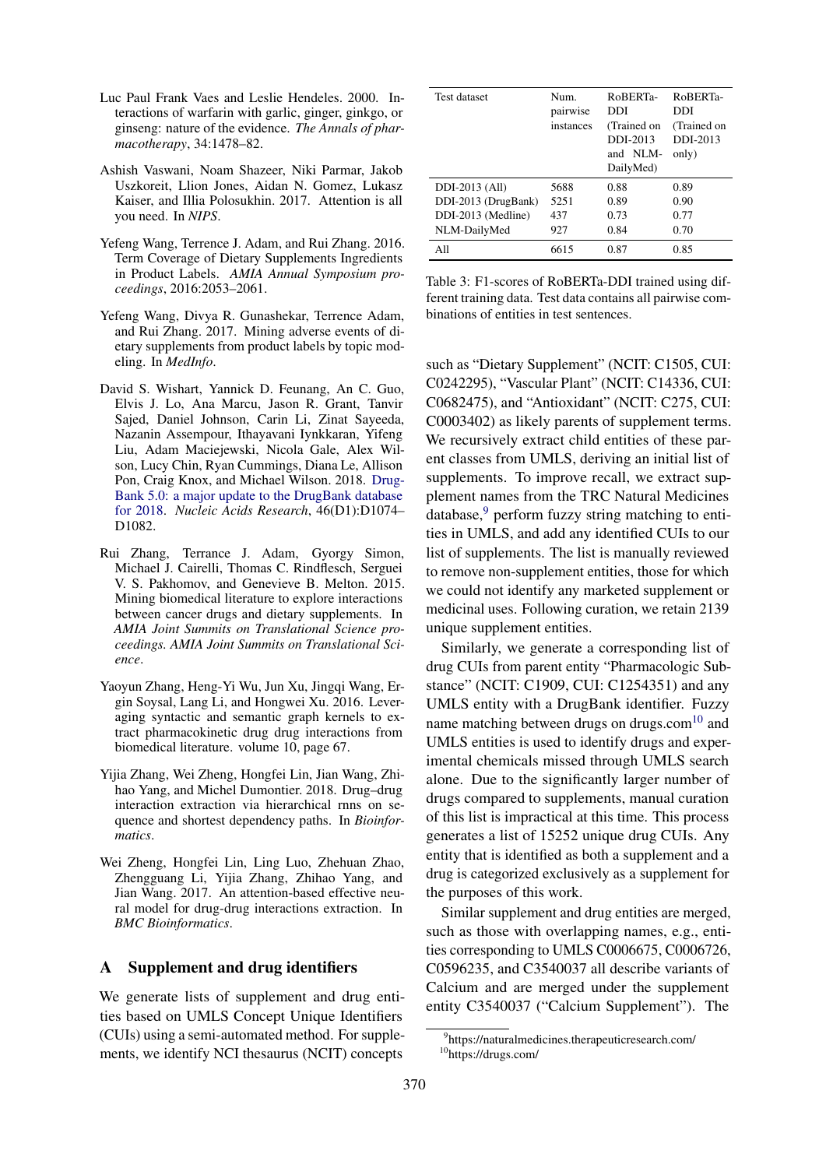- <span id="page-8-1"></span>Luc Paul Frank Vaes and Leslie Hendeles. 2000. Interactions of warfarin with garlic, ginger, ginkgo, or ginseng: nature of the evidence. *The Annals of pharmacotherapy*, 34:1478–82.
- <span id="page-8-3"></span>Ashish Vaswani, Noam Shazeer, Niki Parmar, Jakob Uszkoreit, Llion Jones, Aidan N. Gomez, Lukasz Kaiser, and Illia Polosukhin. 2017. Attention is all you need. In *NIPS*.
- <span id="page-8-7"></span>Yefeng Wang, Terrence J. Adam, and Rui Zhang. 2016. Term Coverage of Dietary Supplements Ingredients in Product Labels. *AMIA Annual Symposium proceedings*, 2016:2053–2061.
- <span id="page-8-6"></span>Yefeng Wang, Divya R. Gunashekar, Terrence Adam, and Rui Zhang. 2017. Mining adverse events of dietary supplements from product labels by topic modeling. In *MedInfo*.
- <span id="page-8-4"></span>David S. Wishart, Yannick D. Feunang, An C. Guo, Elvis J. Lo, Ana Marcu, Jason R. Grant, Tanvir Sajed, Daniel Johnson, Carin Li, Zinat Sayeeda, Nazanin Assempour, Ithayavani Iynkkaran, Yifeng Liu, Adam Maciejewski, Nicola Gale, Alex Wilson, Lucy Chin, Ryan Cummings, Diana Le, Allison Pon, Craig Knox, and Michael Wilson. 2018. [Drug-](https://doi.org/10.1093/nar/gkx1037)[Bank 5.0: a major update to the DrugBank database](https://doi.org/10.1093/nar/gkx1037) [for 2018.](https://doi.org/10.1093/nar/gkx1037) *Nucleic Acids Research*, 46(D1):D1074– D1082.
- <span id="page-8-5"></span>Rui Zhang, Terrance J. Adam, Gyorgy Simon, Michael J. Cairelli, Thomas C. Rindflesch, Serguei V. S. Pakhomov, and Genevieve B. Melton. 2015. Mining biomedical literature to explore interactions between cancer drugs and dietary supplements. In *AMIA Joint Summits on Translational Science proceedings. AMIA Joint Summits on Translational Science*.
- <span id="page-8-0"></span>Yaoyun Zhang, Heng-Yi Wu, Jun Xu, Jingqi Wang, Ergin Soysal, Lang Li, and Hongwei Xu. 2016. Leveraging syntactic and semantic graph kernels to extract pharmacokinetic drug drug interactions from biomedical literature. volume 10, page 67.
- <span id="page-8-10"></span>Yijia Zhang, Wei Zheng, Hongfei Lin, Jian Wang, Zhihao Yang, and Michel Dumontier. 2018. Drug–drug interaction extraction via hierarchical rnns on sequence and shortest dependency paths. In *Bioinformatics*.
- <span id="page-8-11"></span>Wei Zheng, Hongfei Lin, Ling Luo, Zhehuan Zhao, Zhengguang Li, Yijia Zhang, Zhihao Yang, and Jian Wang. 2017. An attention-based effective neural model for drug-drug interactions extraction. In *BMC Bioinformatics*.

## <span id="page-8-2"></span>A Supplement and drug identifiers

We generate lists of supplement and drug entities based on UMLS Concept Unique Identifiers (CUIs) using a semi-automated method. For supplements, we identify NCI thesaurus (NCIT) concepts

<span id="page-8-12"></span>

| Test dataset        | Num.<br>pairwise<br>instances | RoBERTa-<br>DDI<br>(Trained on<br>DDI-2013<br>and NLM-<br>DailyMed) | RoBERTa-<br>DDI<br>(Trained on<br>DDI-2013<br>only) |
|---------------------|-------------------------------|---------------------------------------------------------------------|-----------------------------------------------------|
| DDI-2013 (All)      | 5688                          | 0.88                                                                | 0.89                                                |
| DDI-2013 (DrugBank) | 5251                          | 0.89                                                                | 0.90                                                |
| DDI-2013 (Medline)  | 437                           | 0.73                                                                | 0.77                                                |
| NLM-DailyMed        | 927                           | 0.84                                                                | 0.70                                                |
| A11                 | 6615                          | 0.87                                                                | 0.85                                                |

Table 3: F1-scores of RoBERTa-DDI trained using different training data. Test data contains all pairwise combinations of entities in test sentences.

such as "Dietary Supplement" (NCIT: C1505, CUI: C0242295), "Vascular Plant" (NCIT: C14336, CUI: C0682475), and "Antioxidant" (NCIT: C275, CUI: C0003402) as likely parents of supplement terms. We recursively extract child entities of these parent classes from UMLS, deriving an initial list of supplements. To improve recall, we extract supplement names from the TRC Natural Medicines  $database$ , perform fuzzy string matching to entities in UMLS, and add any identified CUIs to our list of supplements. The list is manually reviewed to remove non-supplement entities, those for which we could not identify any marketed supplement or medicinal uses. Following curation, we retain 2139 unique supplement entities.

Similarly, we generate a corresponding list of drug CUIs from parent entity "Pharmacologic Substance" (NCIT: C1909, CUI: C1254351) and any UMLS entity with a DrugBank identifier. Fuzzy name matching between drugs on drugs.com $10$  and UMLS entities is used to identify drugs and experimental chemicals missed through UMLS search alone. Due to the significantly larger number of drugs compared to supplements, manual curation of this list is impractical at this time. This process generates a list of 15252 unique drug CUIs. Any entity that is identified as both a supplement and a drug is categorized exclusively as a supplement for the purposes of this work.

Similar supplement and drug entities are merged, such as those with overlapping names, e.g., entities corresponding to UMLS C0006675, C0006726, C0596235, and C3540037 all describe variants of Calcium and are merged under the supplement entity C3540037 ("Calcium Supplement"). The

<span id="page-8-9"></span><span id="page-8-8"></span><sup>9</sup> https://naturalmedicines.therapeuticresearch.com/ <sup>10</sup>https://drugs.com/